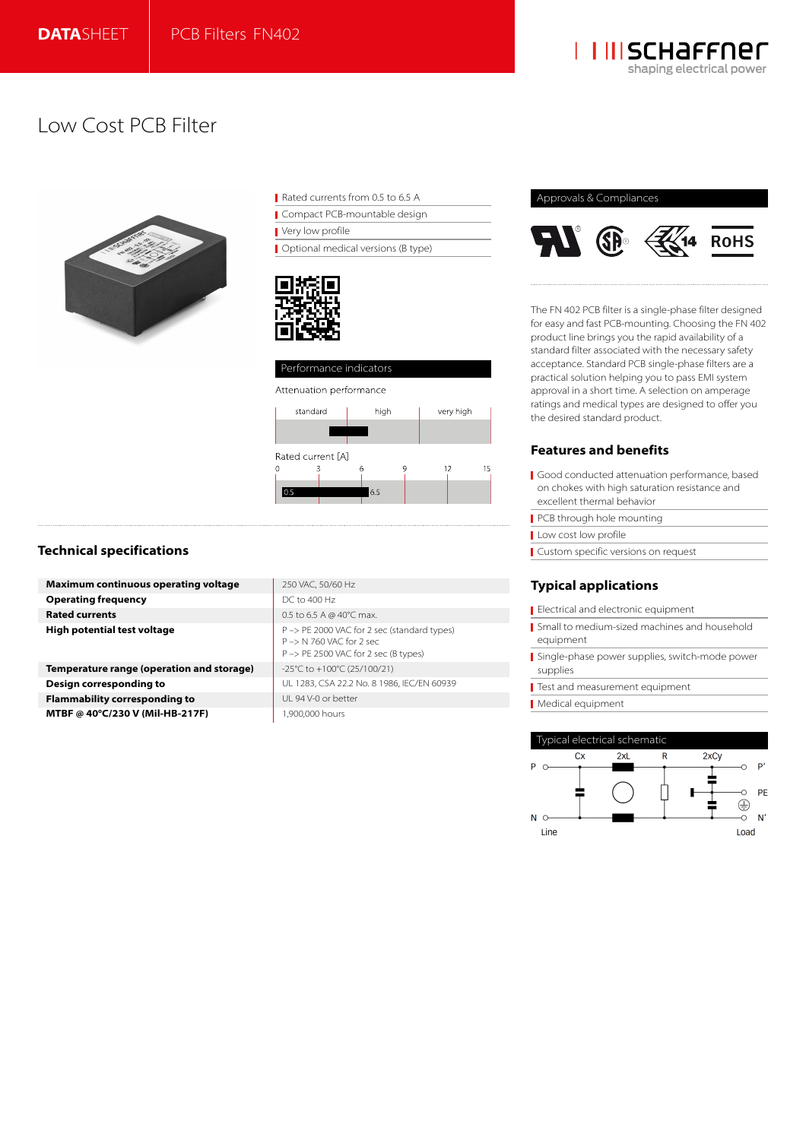

# Low Cost PCB Filter



| Rated currents from 0.5 to 6.5 A |  |
|----------------------------------|--|
|----------------------------------|--|

Compact PCB-mountable design Very low profile

**Optional medical versions (B type)** 



## Performance indicators



## **Technical specifications**

| <b>Maximum continuous operating voltage</b> | 250 VAC, 50/60 Hz                                                                                               |
|---------------------------------------------|-----------------------------------------------------------------------------------------------------------------|
| <b>Operating frequency</b>                  | DC to 400 Hz                                                                                                    |
| <b>Rated currents</b>                       | 0.5 to 6.5 A @ 40 $^{\circ}$ C max.                                                                             |
| High potential test voltage                 | P -> PE 2000 VAC for 2 sec (standard types)<br>P -> N 760 VAC for 2 sec<br>P -> PE 2500 VAC for 2 sec (B types) |
| Temperature range (operation and storage)   | -25°C to +100°C (25/100/21)                                                                                     |

**Design corresponding to Flammability corresponding to MTBF @ 40°C/230 V (Mil-HB-217F)** 

| 250 VAC, 50/60 Hz                                                                                               |
|-----------------------------------------------------------------------------------------------------------------|
| DC to 400 Hz                                                                                                    |
| 0.5 to 6.5 A @ 40°C max.                                                                                        |
| P -> PE 2000 VAC for 2 sec (standard types)<br>P => N 760 VAC for 2 sec<br>P -> PE 2500 VAC for 2 sec (B types) |
| -25°C to +100°C (25/100/21)                                                                                     |
| UL 1283, CSA 22.2 No. 8 1986, IEC/EN 60939                                                                      |
| UL 94 V-0 or better                                                                                             |
| 1.900.000 hours                                                                                                 |
|                                                                                                                 |

## Approvals & Compliances



The FN 402 PCB filter is a single-phase filter designed for easy and fast PCB-mounting. Choosing the FN 402 product line brings you the rapid availability of a standard filter associated with the necessary safety acceptance. Standard PCB single-phase filters are a practical solution helping you to pass EMI system approval in a short time. A selection on amperage ratings and medical types are designed to offer you the desired standard product.

## **Features and benefits**

- Good conducted attenuation performance, based on chokes with high saturation resistance and excellent thermal behavior
- PCB through hole mounting
- Low cost low profile
- Custom specific versions on request

## **Typical applications**

- Electrical and electronic equipment
- Small to medium-sized machines and household equipment
- Single-phase power supplies, switch-mode power supplies
- Test and measurement equipment
- Medical equipment

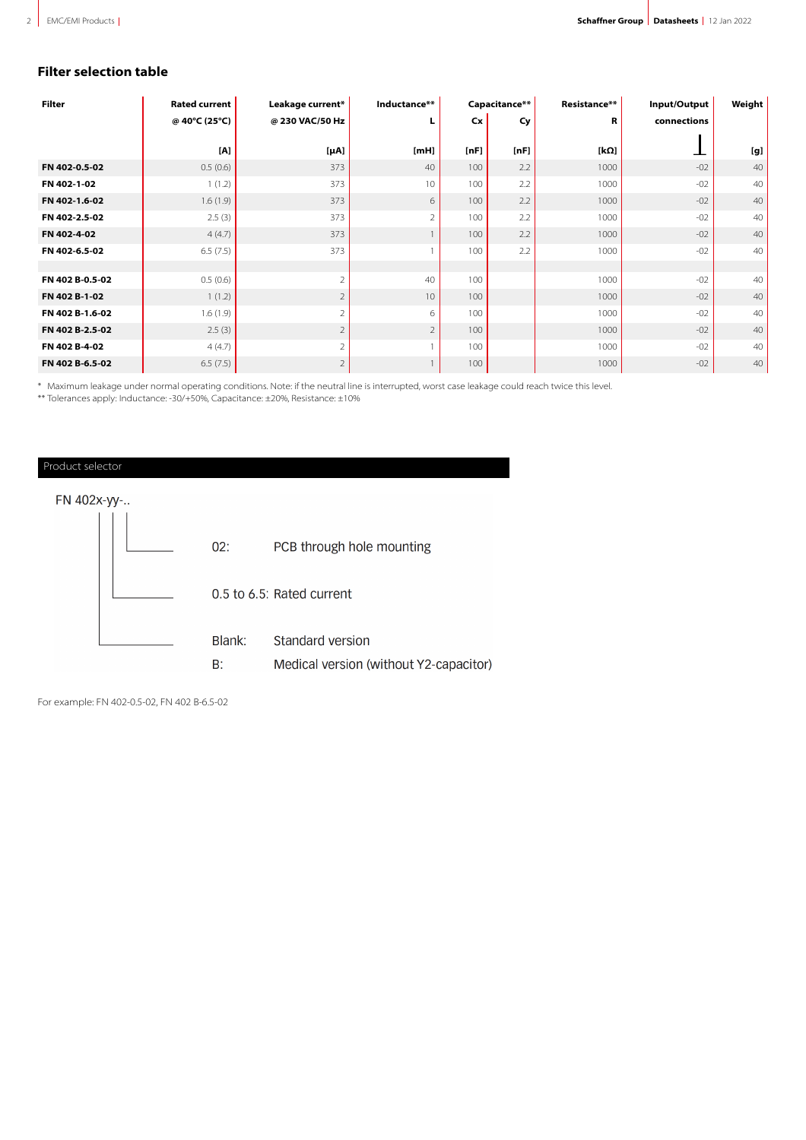## **Filter selection table**

| <b>Filter</b>   | <b>Rated current</b> | Leakage current* | Inductance**   | Capacitance** |      | Resistance** | Input/Output | Weight |
|-----------------|----------------------|------------------|----------------|---------------|------|--------------|--------------|--------|
|                 | @ 40°C (25°C)        | @ 230 VAC/50 Hz  | L              | Cx            | Cy   | R            | connections  |        |
|                 | [A]                  |                  |                |               |      |              |              |        |
|                 |                      | $[\mu A]$        | [ <b>mH</b> ]  | [nF]          | [nF] | [kΩ]         |              | [g]    |
| FN 402-0.5-02   | 0.5(0.6)             | 373              | 40             | 100           | 2.2  | 1000         | $-02$        | 40     |
| FN 402-1-02     | 1(1.2)               | 373              | 10             | 100           | 2.2  | 1000         | $-02$        | 40     |
| FN 402-1.6-02   | 1.6(1.9)             | 373              | 6              | 100           | 2.2  | 1000         | $-02$        | 40     |
| FN 402-2.5-02   | 2.5(3)               | 373              | $\overline{2}$ | 100           | 2.2  | 1000         | $-02$        | 40     |
| FN 402-4-02     | 4(4.7)               | 373              |                | 100           | 2.2  | 1000         | $-02$        | 40     |
| FN 402-6.5-02   | 6.5(7.5)             | 373              |                | 100           | 2.2  | 1000         | $-02$        | 40     |
|                 |                      |                  |                |               |      |              |              |        |
| FN 402 B-0.5-02 | 0.5(0.6)             | $\overline{2}$   | 40             | 100           |      | 1000         | $-02$        | 40     |
| FN 402 B-1-02   | 1(1.2)               | $\overline{2}$   | 10             | 100           |      | 1000         | $-02$        | 40     |
| FN 402 B-1.6-02 | 1.6(1.9)             | $\overline{2}$   | 6              | 100           |      | 1000         | $-02$        | 40     |
| FN 402 B-2.5-02 | 2.5(3)               | $\overline{2}$   | $\overline{2}$ | 100           |      | 1000         | $-02$        | 40     |
| FN 402 B-4-02   | 4(4.7)               | $\overline{2}$   |                | 100           |      | 1000         | $-02$        | 40     |
| FN 402 B-6.5-02 | 6.5(7.5)             | $\overline{2}$   |                | 100           |      | 1000         | $-02$        | 40     |

\*\* Maximum leakage under normal operating conditions. Note: if the neutral line is interrupted, worst case leakage could reach twice this level.

\*\* Tolerances apply: Inductance: -30/+50%, Capacitance: ±20%, Resistance: ±10%



For example: FN 402-0.5-02, FN 402 B-6.5-02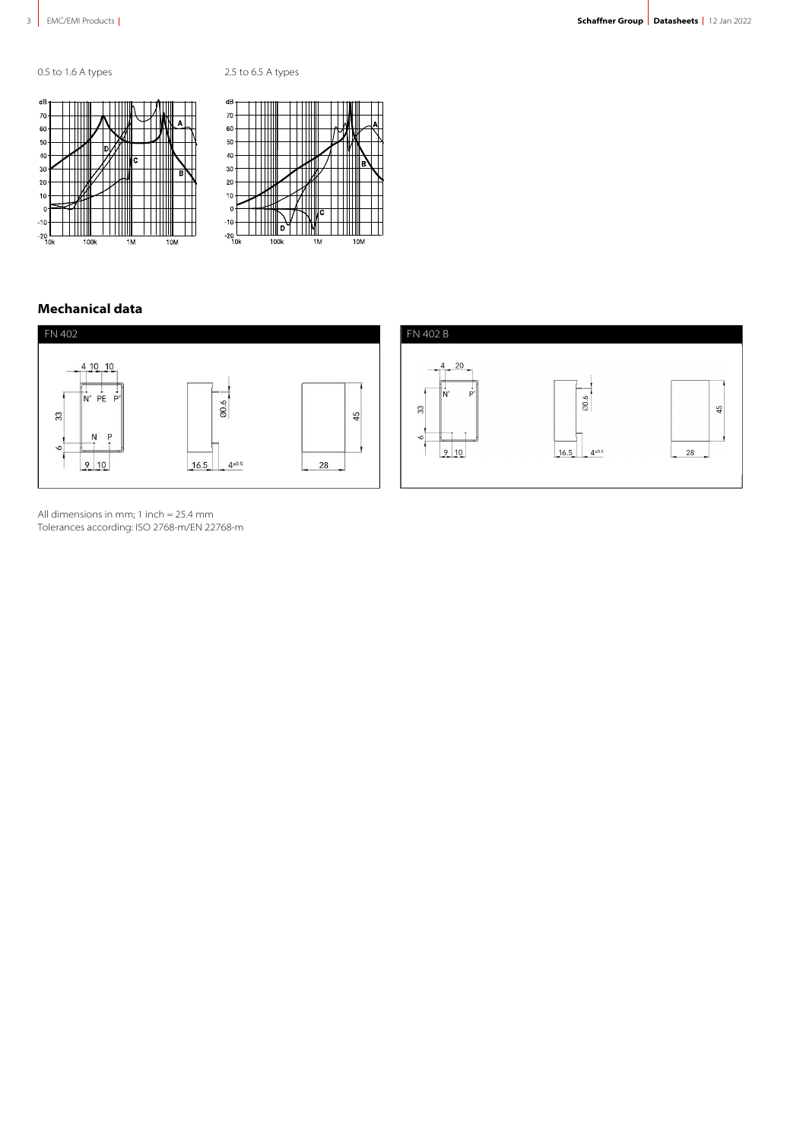





## **Mechanical data**



All dimensions in mm; 1 inch = 25.4 mm Tolerances according: ISO 2768-m/EN 22768-m